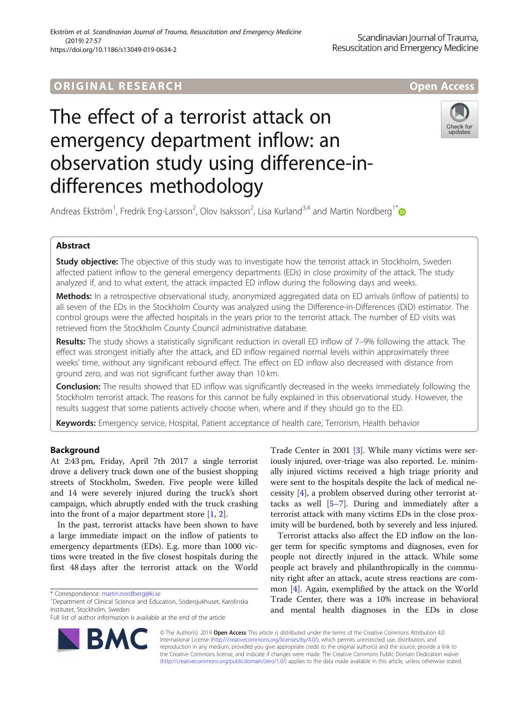# ORIGINA L R E S EA RCH Open Access

# The effect of a terrorist attack on emergency department inflow: an observation study using difference-indifferences methodology



Andreas Ekström<sup>1</sup>, Fredrik Eng-Larsson<sup>2</sup>, Olov Isaksson<sup>2</sup>, Lisa Kurland<sup>3,4</sup> and Martin Nordberg<sup>1[\\*](http://orcid.org/0000-0001-8263-0433)</sup>

# Abstract

**Study objective:** The objective of this study was to investigate how the terrorist attack in Stockholm, Sweden affected patient inflow to the general emergency departments (EDs) in close proximity of the attack. The study analyzed if, and to what extent, the attack impacted ED inflow during the following days and weeks.

Methods: In a retrospective observational study, anonymized aggregated data on ED arrivals (inflow of patients) to all seven of the EDs in the Stockholm County was analyzed using the Difference-in-Differences (DiD) estimator. The control groups were the affected hospitals in the years prior to the terrorist attack. The number of ED visits was retrieved from the Stockholm County Council administrative database.

Results: The study shows a statistically significant reduction in overall ED inflow of 7–9% following the attack. The effect was strongest initially after the attack, and ED inflow regained normal levels within approximately three weeks' time, without any significant rebound effect. The effect on ED inflow also decreased with distance from ground zero, and was not significant further away than 10 km.

Conclusion: The results showed that ED inflow was significantly decreased in the weeks immediately following the Stockholm terrorist attack. The reasons for this cannot be fully explained in this observational study. However, the results suggest that some patients actively choose when, where and if they should go to the ED.

Keywords: Emergency service, Hospital, Patient acceptance of health care, Terrorism, Health behavior

# Background

At 2:43 pm, Friday, April 7th 2017 a single terrorist drove a delivery truck down one of the busiest shopping streets of Stockholm, Sweden. Five people were killed and 14 were severely injured during the truck's short campaign, which abruptly ended with the truck crashing into the front of a major department store  $[1, 2]$  $[1, 2]$  $[1, 2]$  $[1, 2]$ .

In the past, terrorist attacks have been shown to have a large immediate impact on the inflow of patients to emergency departments (EDs). E.g. more than 1000 victims were treated in the five closest hospitals during the first 48 days after the terrorist attack on the World

<sup>1</sup>Department of Clinical Science and Education, Södersjukhuset, Karolinska Institutet, Stockholm, Sweden

Full list of author information is available at the end of the article



Trade Center in 2001 [[3\]](#page-6-0). While many victims were seriously injured, over-triage was also reported. I.e. minimally injured victims received a high triage priority and were sent to the hospitals despite the lack of medical necessity [[4\]](#page-6-0), a problem observed during other terrorist attacks as well [\[5](#page-6-0)–[7\]](#page-6-0). During and immediately after a terrorist attack with many victims EDs in the close proximity will be burdened, both by severely and less injured.

Terrorist attacks also affect the ED inflow on the longer term for specific symptoms and diagnoses, even for people not directly injured in the attack. While some people act bravely and philanthropically in the community right after an attack, acute stress reactions are common [\[4](#page-6-0)]. Again, exemplified by the attack on the World Trade Center, there was a 10% increase in behavioral and mental health diagnoses in the EDs in close

© The Author(s). 2019 Open Access This article is distributed under the terms of the Creative Commons Attribution 4.0 International License [\(http://creativecommons.org/licenses/by/4.0/](http://creativecommons.org/licenses/by/4.0/)), which permits unrestricted use, distribution, and reproduction in any medium, provided you give appropriate credit to the original author(s) and the source, provide a link to the Creative Commons license, and indicate if changes were made. The Creative Commons Public Domain Dedication waiver [\(http://creativecommons.org/publicdomain/zero/1.0/](http://creativecommons.org/publicdomain/zero/1.0/)) applies to the data made available in this article, unless otherwise stated.

<sup>\*</sup> Correspondence: [martin.nordberg@ki.se](mailto:martin.nordberg@ki.se) <sup>1</sup>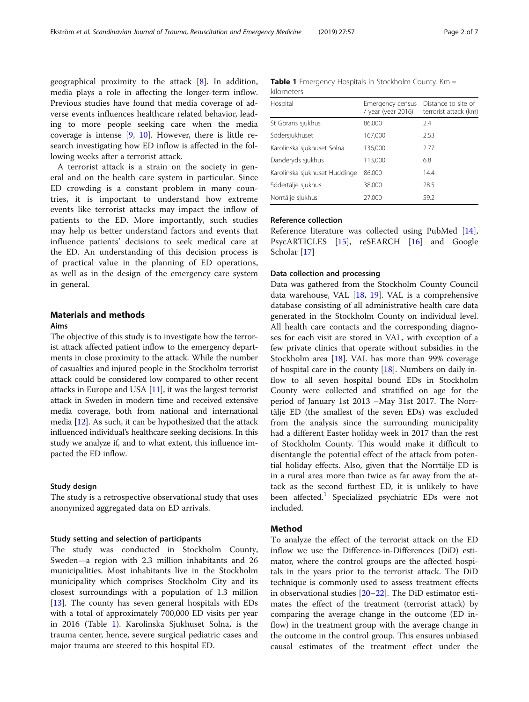geographical proximity to the attack [[8\]](#page-6-0). In addition, media plays a role in affecting the longer-term inflow. Previous studies have found that media coverage of adverse events influences healthcare related behavior, leading to more people seeking care when the media coverage is intense [[9,](#page-6-0) [10\]](#page-6-0). However, there is little research investigating how ED inflow is affected in the following weeks after a terrorist attack.

A terrorist attack is a strain on the society in general and on the health care system in particular. Since ED crowding is a constant problem in many countries, it is important to understand how extreme events like terrorist attacks may impact the inflow of patients to the ED. More importantly, such studies may help us better understand factors and events that influence patients' decisions to seek medical care at the ED. An understanding of this decision process is of practical value in the planning of ED operations, as well as in the design of the emergency care system in general.

# Materials and methods

# Aims

The objective of this study is to investigate how the terrorist attack affected patient inflow to the emergency departments in close proximity to the attack. While the number of casualties and injured people in the Stockholm terrorist attack could be considered low compared to other recent attacks in Europe and USA [[11\]](#page-6-0), it was the largest terrorist attack in Sweden in modern time and received extensive media coverage, both from national and international media [[12](#page-6-0)]. As such, it can be hypothesized that the attack influenced individual's healthcare seeking decisions. In this study we analyze if, and to what extent, this influence impacted the ED inflow.

## Study design

The study is a retrospective observational study that uses anonymized aggregated data on ED arrivals.

#### Study setting and selection of participants

The study was conducted in Stockholm County, Sweden—a region with 2.3 million inhabitants and 26 municipalities. Most inhabitants live in the Stockholm municipality which comprises Stockholm City and its closest surroundings with a population of 1.3 million [[13\]](#page-6-0). The county has seven general hospitals with EDs with a total of approximately 700,000 ED visits per year in 2016 (Table 1). Karolinska Sjukhuset Solna, is the trauma center, hence, severe surgical pediatric cases and major trauma are steered to this hospital ED.

|            | <b>Table 1</b> Emergency Hospitals in Stockholm County. Km = |  |  |  |
|------------|--------------------------------------------------------------|--|--|--|
| kilometers |                                                              |  |  |  |

| Hospital                      | Emergency census<br>/ year (year 2016) | Distance to site of<br>terrorist attack (km) |
|-------------------------------|----------------------------------------|----------------------------------------------|
| St Görans sjukhus             | 86,000                                 | 2.4                                          |
| Södersjukhuset                | 167,000                                | 2.53                                         |
| Karolinska sjukhuset Solna    | 136,000                                | 2.77                                         |
| Danderyds sjukhus             | 113,000                                | 6.8                                          |
| Karolinska sjukhuset Huddinge | 86,000                                 | 14.4                                         |
| Södertälje sjukhus            | 38,000                                 | 28.5                                         |
| Norrtälje sjukhus             | 27,000                                 | 59.2                                         |

## Reference collection

Reference literature was collected using PubMed [\[14](#page-6-0)], PsycARTICLES [\[15](#page-6-0)], reSEARCH [\[16\]](#page-6-0) and Google Scholar [\[17](#page-6-0)]

#### Data collection and processing

Data was gathered from the Stockholm County Council data warehouse, VAL [[18](#page-6-0), [19](#page-6-0)]. VAL is a comprehensive database consisting of all administrative health care data generated in the Stockholm County on individual level. All health care contacts and the corresponding diagnoses for each visit are stored in VAL, with exception of a few private clinics that operate without subsidies in the Stockholm area [\[18](#page-6-0)]. VAL has more than 99% coverage of hospital care in the county [\[18\]](#page-6-0). Numbers on daily inflow to all seven hospital bound EDs in Stockholm County were collected and stratified on age for the period of January 1st 2013 –May 31st 2017. The Norrtälje ED (the smallest of the seven EDs) was excluded from the analysis since the surrounding municipality had a different Easter holiday week in 2017 than the rest of Stockholm County. This would make it difficult to disentangle the potential effect of the attack from potential holiday effects. Also, given that the Norrtälje ED is in a rural area more than twice as far away from the attack as the second furthest ED, it is unlikely to have been affected.<sup>1</sup> Specialized psychiatric EDs were not included.

#### Method

To analyze the effect of the terrorist attack on the ED inflow we use the Difference-in-Differences (DiD) estimator, where the control groups are the affected hospitals in the years prior to the terrorist attack. The DiD technique is commonly used to assess treatment effects in observational studies [\[20](#page-6-0)–[22\]](#page-6-0). The DiD estimator estimates the effect of the treatment (terrorist attack) by comparing the average change in the outcome (ED inflow) in the treatment group with the average change in the outcome in the control group. This ensures unbiased causal estimates of the treatment effect under the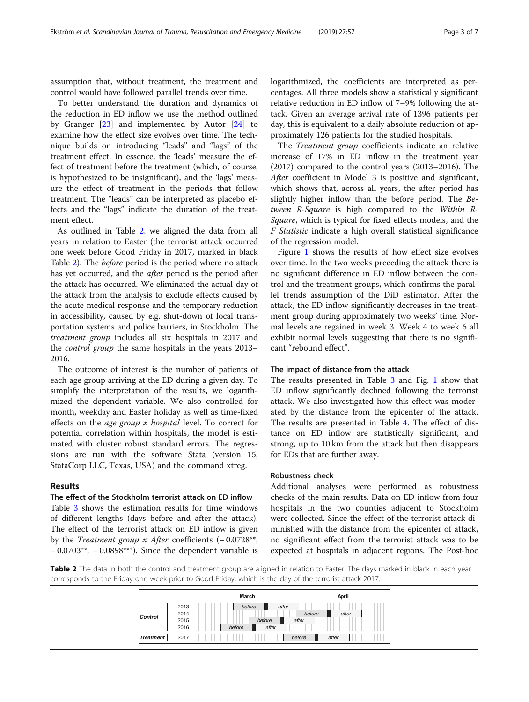assumption that, without treatment, the treatment and control would have followed parallel trends over time.

To better understand the duration and dynamics of the reduction in ED inflow we use the method outlined by Granger [[23\]](#page-6-0) and implemented by Autor [\[24](#page-6-0)] to examine how the effect size evolves over time. The technique builds on introducing "leads" and "lags" of the treatment effect. In essence, the 'leads' measure the effect of treatment before the treatment (which, of course, is hypothesized to be insignificant), and the 'lags' measure the effect of treatment in the periods that follow treatment. The "leads" can be interpreted as placebo effects and the "lags" indicate the duration of the treatment effect.

As outlined in Table 2, we aligned the data from all years in relation to Easter (the terrorist attack occurred one week before Good Friday in 2017, marked in black Table 2). The before period is the period where no attack has yet occurred, and the *after* period is the period after the attack has occurred. We eliminated the actual day of the attack from the analysis to exclude effects caused by the acute medical response and the temporary reduction in accessibility, caused by e.g. shut-down of local transportation systems and police barriers, in Stockholm. The treatment group includes all six hospitals in 2017 and the control group the same hospitals in the years 2013– 2016.

The outcome of interest is the number of patients of each age group arriving at the ED during a given day. To simplify the interpretation of the results, we logarithmized the dependent variable. We also controlled for month, weekday and Easter holiday as well as time-fixed effects on the age group x hospital level. To correct for potential correlation within hospitals, the model is estimated with cluster robust standard errors. The regressions are run with the software Stata (version 15, StataCorp LLC, Texas, USA) and the command xtreg.

#### Results

# The effect of the Stockholm terrorist attack on ED inflow

Table [3](#page-3-0) shows the estimation results for time windows of different lengths (days before and after the attack). The effect of the terrorist attack on ED inflow is given by the Treatment group x After coefficients (− 0.0728\*\*, − 0.0703\*\*, − 0.0898\*\*\*). Since the dependent variable is logarithmized, the coefficients are interpreted as percentages. All three models show a statistically significant relative reduction in ED inflow of 7–9% following the attack. Given an average arrival rate of 1396 patients per day, this is equivalent to a daily absolute reduction of approximately 126 patients for the studied hospitals.

The Treatment group coefficients indicate an relative increase of 17% in ED inflow in the treatment year (2017) compared to the control years (2013–2016). The After coefficient in Model 3 is positive and significant, which shows that, across all years, the after period has slightly higher inflow than the before period. The Between R-Square is high compared to the Within R-Square, which is typical for fixed effects models, and the F Statistic indicate a high overall statistical significance of the regression model.

Figure [1](#page-3-0) shows the results of how effect size evolves over time. In the two weeks preceding the attack there is no significant difference in ED inflow between the control and the treatment groups, which confirms the parallel trends assumption of the DiD estimator. After the attack, the ED inflow significantly decreases in the treatment group during approximately two weeks' time. Normal levels are regained in week 3. Week 4 to week 6 all exhibit normal levels suggesting that there is no significant "rebound effect".

#### The impact of distance from the attack

The results presented in Table [3](#page-3-0) and Fig. [1](#page-3-0) show that ED inflow significantly declined following the terrorist attack. We also investigated how this effect was moderated by the distance from the epicenter of the attack. The results are presented in Table [4.](#page-4-0) The effect of distance on ED inflow are statistically significant, and strong, up to 10 km from the attack but then disappears for EDs that are further away.

## Robustness check

Additional analyses were performed as robustness checks of the main results. Data on ED inflow from four hospitals in the two counties adjacent to Stockholm were collected. Since the effect of the terrorist attack diminished with the distance from the epicenter of attack, no significant effect from the terrorist attack was to be expected at hospitals in adjacent regions. The Post-hoc

Table 2 The data in both the control and treatment group are aligned in relation to Easter. The days marked in black in each year corresponds to the Friday one week prior to Good Friday, which is the day of the terrorist attack 2017.

|                  |                              | March                                        |                 | April |
|------------------|------------------------------|----------------------------------------------|-----------------|-------|
| Control          | 2013<br>2014<br>2015<br>2016 | before<br>after<br>before<br>after<br>before | before<br>after | after |
| <b>Treatment</b> | 2017                         |                                              | before          | after |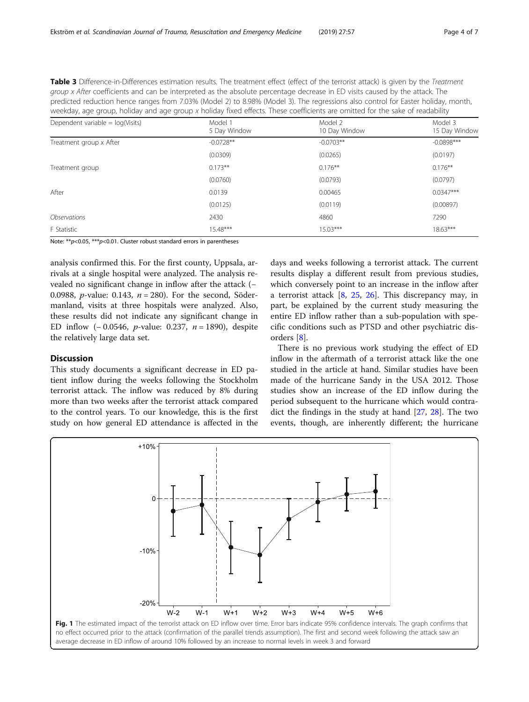<span id="page-3-0"></span>Table 3 Difference-in-Differences estimation results. The treatment effect (effect of the terrorist attack) is given by the Treatment group x After coefficients and can be interpreted as the absolute percentage decrease in ED visits caused by the attack. The predicted reduction hence ranges from 7.03% (Model 2) to 8.98% (Model 3). The regressions also control for Easter holiday, month, weekday, age group, holiday and age group x holiday fixed effects. These coefficients are omitted for the sake of readability

| Dependent variable = $log(Visits)$ | Model 1<br>5 Day Window | Model 2<br>10 Day Window | Model 3<br>15 Day Window |
|------------------------------------|-------------------------|--------------------------|--------------------------|
| Treatment group x After            | $-0.0728**$             | $-0.0703**$              | $-0.0898***$             |
|                                    | (0.0309)                | (0.0265)                 | (0.0197)                 |
| Treatment group                    | $0.173**$               | $0.176***$               | $0.176**$                |
|                                    | (0.0760)                | (0.0793)                 | (0.0797)                 |
| After                              | 0.0139                  | 0.00465                  | $0.0347***$              |
|                                    | (0.0125)                | (0.0119)                 | (0.00897)                |
| <i><b>Observations</b></i>         | 2430                    | 4860                     | 7290                     |
| F Statistic                        | $15.48***$              | $15.03***$               | $18.63***$               |

Note:  $**p<0.05$ ,  $**p<0.01$ . Cluster robust standard errors in parentheses

analysis confirmed this. For the first county, Uppsala, arrivals at a single hospital were analyzed. The analysis revealed no significant change in inflow after the attack (− 0.0988, *p*-value: 0.143,  $n = 280$ ). For the second, Södermanland, visits at three hospitals were analyzed. Also, these results did not indicate any significant change in ED inflow  $(-0.0546, p-value: 0.237, n = 1890)$ , despite the relatively large data set.

#### **Discussion**

This study documents a significant decrease in ED patient inflow during the weeks following the Stockholm terrorist attack. The inflow was reduced by 8% during more than two weeks after the terrorist attack compared to the control years. To our knowledge, this is the first study on how general ED attendance is affected in the

days and weeks following a terrorist attack. The current results display a different result from previous studies, which conversely point to an increase in the inflow after a terrorist attack  $[8, 25, 26]$  $[8, 25, 26]$  $[8, 25, 26]$  $[8, 25, 26]$  $[8, 25, 26]$  $[8, 25, 26]$ . This discrepancy may, in part, be explained by the current study measuring the entire ED inflow rather than a sub-population with specific conditions such as PTSD and other psychiatric disorders [[8\]](#page-6-0).

There is no previous work studying the effect of ED inflow in the aftermath of a terrorist attack like the one studied in the article at hand. Similar studies have been made of the hurricane Sandy in the USA 2012. Those studies show an increase of the ED inflow during the period subsequent to the hurricane which would contradict the findings in the study at hand [[27,](#page-6-0) [28\]](#page-6-0). The two events, though, are inherently different; the hurricane

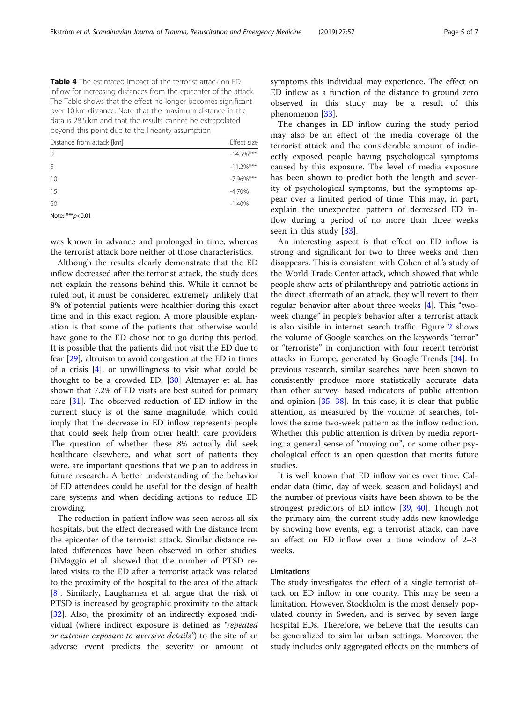<span id="page-4-0"></span>Table 4 The estimated impact of the terrorist attack on ED inflow for increasing distances from the epicenter of the attack. The Table shows that the effect no longer becomes significant over 10 km distance. Note that the maximum distance in the data is 28.5 km and that the results cannot be extrapolated beyond this point due to the linearity assumption

| Distance from attack [km] | Effect size   |
|---------------------------|---------------|
| $\overline{0}$            | $-14.5\%$ *** |
| 5                         | $-11.2%$ ***  |
| 10                        | $-7.96\%$ *** |
| 15                        | $-4.70%$      |
| 20                        | $-1.40%$      |
| $M: L = X X X$ , $A A A$  |               |

Note: \*\*\*  $p$  < 0.01

was known in advance and prolonged in time, whereas the terrorist attack bore neither of those characteristics.

Although the results clearly demonstrate that the ED inflow decreased after the terrorist attack, the study does not explain the reasons behind this. While it cannot be ruled out, it must be considered extremely unlikely that 8% of potential patients were healthier during this exact time and in this exact region. A more plausible explanation is that some of the patients that otherwise would have gone to the ED chose not to go during this period. It is possible that the patients did not visit the ED due to fear [\[29\]](#page-6-0), altruism to avoid congestion at the ED in times of a crisis  $[4]$  $[4]$ , or unwillingness to visit what could be thought to be a crowded ED. [\[30](#page-6-0)] Altmayer et al. has shown that 7.2% of ED visits are best suited for primary care [\[31\]](#page-6-0). The observed reduction of ED inflow in the current study is of the same magnitude, which could imply that the decrease in ED inflow represents people that could seek help from other health care providers. The question of whether these 8% actually did seek healthcare elsewhere, and what sort of patients they were, are important questions that we plan to address in future research. A better understanding of the behavior of ED attendees could be useful for the design of health care systems and when deciding actions to reduce ED crowding.

The reduction in patient inflow was seen across all six hospitals, but the effect decreased with the distance from the epicenter of the terrorist attack. Similar distance related differences have been observed in other studies. DiMaggio et al. showed that the number of PTSD related visits to the ED after a terrorist attack was related to the proximity of the hospital to the area of the attack [[8\]](#page-6-0). Similarly, Laugharnea et al. argue that the risk of PTSD is increased by geographic proximity to the attack [[32\]](#page-6-0). Also, the proximity of an indirectly exposed individual (where indirect exposure is defined as "repeated or extreme exposure to aversive details") to the site of an adverse event predicts the severity or amount of

symptoms this individual may experience. The effect on ED inflow as a function of the distance to ground zero observed in this study may be a result of this phenomenon [[33\]](#page-6-0).

The changes in ED inflow during the study period may also be an effect of the media coverage of the terrorist attack and the considerable amount of indirectly exposed people having psychological symptoms caused by this exposure. The level of media exposure has been shown to predict both the length and severity of psychological symptoms, but the symptoms appear over a limited period of time. This may, in part, explain the unexpected pattern of decreased ED inflow during a period of no more than three weeks seen in this study [[33\]](#page-6-0).

An interesting aspect is that effect on ED inflow is strong and significant for two to three weeks and then disappears. This is consistent with Cohen et al.'s study of the World Trade Center attack, which showed that while people show acts of philanthropy and patriotic actions in the direct aftermath of an attack, they will revert to their regular behavior after about three weeks [[4\]](#page-6-0). This "twoweek change" in people's behavior after a terrorist attack is also visible in internet search traffic. Figure [2](#page-5-0) shows the volume of Google searches on the keywords "terror" or "terroriste" in conjunction with four recent terrorist attacks in Europe, generated by Google Trends [[34\]](#page-6-0). In previous research, similar searches have been shown to consistently produce more statistically accurate data than other survey- based indicators of public attention and opinion [[35](#page-6-0)–[38](#page-6-0)]. In this case, it is clear that public attention, as measured by the volume of searches, follows the same two-week pattern as the inflow reduction. Whether this public attention is driven by media reporting, a general sense of "moving on", or some other psychological effect is an open question that merits future studies.

It is well known that ED inflow varies over time. Calendar data (time, day of week, season and holidays) and the number of previous visits have been shown to be the strongest predictors of ED inflow [\[39,](#page-6-0) [40](#page-6-0)]. Though not the primary aim, the current study adds new knowledge by showing how events, e.g. a terrorist attack, can have an effect on ED inflow over a time window of 2–3 weeks.

#### Limitations

The study investigates the effect of a single terrorist attack on ED inflow in one county. This may be seen a limitation. However, Stockholm is the most densely populated county in Sweden, and is served by seven large hospital EDs. Therefore, we believe that the results can be generalized to similar urban settings. Moreover, the study includes only aggregated effects on the numbers of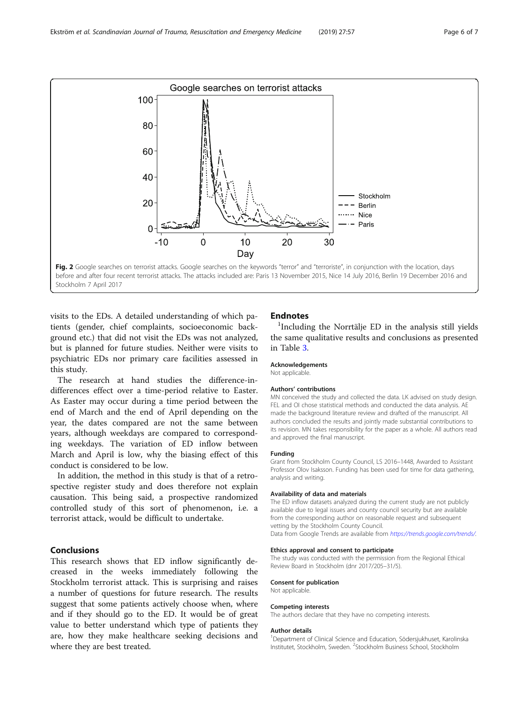<span id="page-5-0"></span>

visits to the EDs. A detailed understanding of which patients (gender, chief complaints, socioeconomic background etc.) that did not visit the EDs was not analyzed, but is planned for future studies. Neither were visits to psychiatric EDs nor primary care facilities assessed in this study.

The research at hand studies the difference-indifferences effect over a time-period relative to Easter. As Easter may occur during a time period between the end of March and the end of April depending on the year, the dates compared are not the same between years, although weekdays are compared to corresponding weekdays. The variation of ED inflow between March and April is low, why the biasing effect of this conduct is considered to be low.

In addition, the method in this study is that of a retrospective register study and does therefore not explain causation. This being said, a prospective randomized controlled study of this sort of phenomenon, i.e. a terrorist attack, would be difficult to undertake.

# Conclusions

This research shows that ED inflow significantly decreased in the weeks immediately following the Stockholm terrorist attack. This is surprising and raises a number of questions for future research. The results suggest that some patients actively choose when, where and if they should go to the ED. It would be of great value to better understand which type of patients they are, how they make healthcare seeking decisions and where they are best treated.

# **Endnotes**

<sup>1</sup>Including the Norrtälje ED in the analysis still yields the same qualitative results and conclusions as presented in Table [3.](#page-3-0)

#### Acknowledgements

Not applicable.

#### Authors' contributions

MN conceived the study and collected the data. LK advised on study design. FEL and OI chose statistical methods and conducted the data analysis. AE made the background literature review and drafted of the manuscript. All authors concluded the results and jointly made substantial contributions to its revision. MN takes responsibility for the paper as a whole. All authors read and approved the final manuscript.

#### Funding

Grant from Stockholm County Council, LS 2016–1448, Awarded to Assistant Professor Olov Isaksson. Funding has been used for time for data gathering, analysis and writing.

#### Availability of data and materials

The ED inflow datasets analyzed during the current study are not publicly available due to legal issues and county council security but are available from the corresponding author on reasonable request and subsequent vetting by the Stockholm County Council. Data from Google Trends are available from <https://trends.google.com/trends/>.

#### Ethics approval and consent to participate

The study was conducted with the permission from the Regional Ethical Review Board in Stockholm (dnr 2017/205–31/5).

#### Consent for publication

Not applicable.

#### Competing interests

The authors declare that they have no competing interests.

#### Author details

<sup>1</sup>Department of Clinical Science and Education, Södersjukhuset, Karolinska Institutet, Stockholm, Sweden. <sup>2</sup>Stockholm Business School, Stockholm